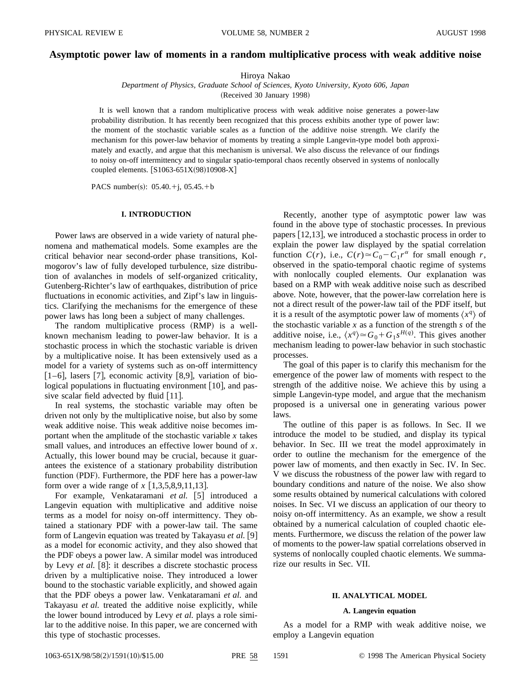## **Asymptotic power law of moments in a random multiplicative process with weak additive noise**

Hiroya Nakao

*Department of Physics, Graduate School of Sciences, Kyoto University, Kyoto 606, Japan*

(Received 30 January 1998)

It is well known that a random multiplicative process with weak additive noise generates a power-law probability distribution. It has recently been recognized that this process exhibits another type of power law: the moment of the stochastic variable scales as a function of the additive noise strength. We clarify the mechanism for this power-law behavior of moments by treating a simple Langevin-type model both approximately and exactly, and argue that this mechanism is universal. We also discuss the relevance of our findings to noisy on-off intermittency and to singular spatio-temporal chaos recently observed in systems of nonlocally coupled elements.  $[S1063-651X(98)10908-X]$ 

PACS number(s):  $05.40.+j$ ,  $05.45.+b$ 

# **I. INTRODUCTION**

Power laws are observed in a wide variety of natural phenomena and mathematical models. Some examples are the critical behavior near second-order phase transitions, Kolmogorov's law of fully developed turbulence, size distribution of avalanches in models of self-organized criticality, Gutenberg-Richter's law of earthquakes, distribution of price fluctuations in economic activities, and Zipf's law in linguistics. Clarifying the mechanisms for the emergence of these power laws has long been a subject of many challenges.

The random multiplicative process  $(RMP)$  is a wellknown mechanism leading to power-law behavior. It is a stochastic process in which the stochastic variable is driven by a multiplicative noise. It has been extensively used as a model for a variety of systems such as on-off intermittency  $[1-6]$ , lasers [7], economic activity [8,9], variation of biological populations in fluctuating environment  $[10]$ , and passive scalar field advected by fluid  $[11]$ .

In real systems, the stochastic variable may often be driven not only by the multiplicative noise, but also by some weak additive noise. This weak additive noise becomes important when the amplitude of the stochastic variable  $x$  takes small values, and introduces an effective lower bound of *x*. Actually, this lower bound may be crucial, because it guarantees the existence of a stationary probability distribution function (PDF). Furthermore, the PDF here has a power-law form over a wide range of  $x$  [1,3,5,8,9,11,13].

For example, Venkataramani et al. [5] introduced a Langevin equation with multiplicative and additive noise terms as a model for noisy on-off intermittency. They obtained a stationary PDF with a power-law tail. The same form of Langevin equation was treated by Takayasu *et al.* [9] as a model for economic activity, and they also showed that the PDF obeys a power law. A similar model was introduced by Levy *et al.* [8]: it describes a discrete stochastic process driven by a multiplicative noise. They introduced a lower bound to the stochastic variable explicitly, and showed again that the PDF obeys a power law. Venkataramani *et al.* and Takayasu *et al.* treated the additive noise explicitly, while the lower bound introduced by Levy *et al.* plays a role similar to the additive noise. In this paper, we are concerned with this type of stochastic processes.

Recently, another type of asymptotic power law was found in the above type of stochastic processes. In previous papers  $[12,13]$ , we introduced a stochastic process in order to explain the power law displayed by the spatial correlation function  $C(r)$ , i.e.,  $C(r) \approx C_0 - C_1 r^{\alpha}$  for small enough *r*, observed in the spatio-temporal chaotic regime of systems with nonlocally coupled elements. Our explanation was based on a RMP with weak additive noise such as described above. Note, however, that the power-law correlation here is not a direct result of the power-law tail of the PDF itself, but it is a result of the asymptotic power law of moments  $\langle x^q \rangle$  of the stochastic variable *x* as a function of the strength *s* of the additive noise, i.e.,  $\langle x^q \rangle \approx G_0 + G_1 s^{H(q)}$ . This gives another mechanism leading to power-law behavior in such stochastic processes.

The goal of this paper is to clarify this mechanism for the emergence of the power law of moments with respect to the strength of the additive noise. We achieve this by using a simple Langevin-type model, and argue that the mechanism proposed is a universal one in generating various power laws.

The outline of this paper is as follows. In Sec. II we introduce the model to be studied, and display its typical behavior. In Sec. III we treat the model approximately in order to outline the mechanism for the emergence of the power law of moments, and then exactly in Sec. IV. In Sec. V we discuss the robustness of the power law with regard to boundary conditions and nature of the noise. We also show some results obtained by numerical calculations with colored noises. In Sec. VI we discuss an application of our theory to noisy on-off intermittency. As an example, we show a result obtained by a numerical calculation of coupled chaotic elements. Furthermore, we discuss the relation of the power law of moments to the power-law spatial correlations observed in systems of nonlocally coupled chaotic elements. We summarize our results in Sec. VII.

## **II. ANALYTICAL MODEL**

### **A. Langevin equation**

As a model for a RMP with weak additive noise, we employ a Langevin equation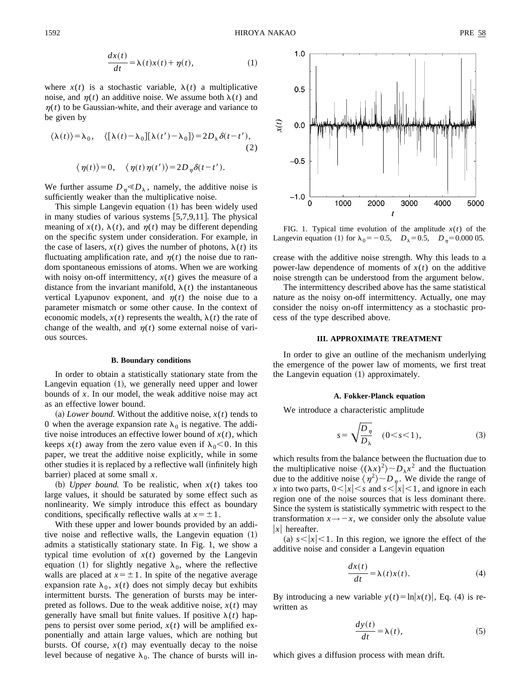$$
\frac{dx(t)}{dt} = \lambda(t)x(t) + \eta(t),
$$
\n(1)

where  $x(t)$  is a stochastic variable,  $\lambda(t)$  a multiplicative noise, and  $\eta(t)$  an additive noise. We assume both  $\lambda(t)$  and  $\eta(t)$  to be Gaussian-white, and their average and variance to be given by

$$
\langle \lambda(t) \rangle = \lambda_0, \quad \langle [\lambda(t) - \lambda_0] [\lambda(t') - \lambda_0] \rangle = 2D_\lambda \delta(t - t'),
$$
  
(2)  

$$
\langle \eta(t) \rangle = 0, \quad \langle \eta(t) \eta(t') \rangle = 2D_\eta \delta(t - t').
$$

We further assume  $D_n \ll D_\lambda$ , namely, the additive noise is sufficiently weaker than the multiplicative noise.

This simple Langevin equation  $(1)$  has been widely used in many studies of various systems  $\vert 5,7,9,11 \vert$ . The physical meaning of  $x(t)$ ,  $\lambda(t)$ , and  $\eta(t)$  may be different depending on the specific system under consideration. For example, in the case of lasers,  $x(t)$  gives the number of photons,  $\lambda(t)$  its fluctuating amplification rate, and  $\eta(t)$  the noise due to random spontaneous emissions of atoms. When we are working with noisy on-off intermittency,  $x(t)$  gives the measure of a distance from the invariant manifold,  $\lambda(t)$  the instantaneous vertical Lyapunov exponent, and  $\eta(t)$  the noise due to a parameter mismatch or some other cause. In the context of economic models,  $x(t)$  represents the wealth,  $\lambda(t)$  the rate of change of the wealth, and  $\eta(t)$  some external noise of various sources.

#### **B. Boundary conditions**

In order to obtain a statistically stationary state from the Langevin equation  $(1)$ , we generally need upper and lower bounds of *x*. In our model, the weak additive noise may act as an effective lower bound.

(a) *Lower bound*. Without the additive noise,  $x(t)$  tends to 0 when the average expansion rate  $\lambda_0$  is negative. The additive noise introduces an effective lower bound of  $x(t)$ , which keeps  $x(t)$  away from the zero value even if  $\lambda_0 < 0$ . In this paper, we treat the additive noise explicitly, while in some other studies it is replaced by a reflective wall (infinitely high barrier) placed at some small  $x$ .

(b) *Upper bound*. To be realistic, when  $x(t)$  takes too large values, it should be saturated by some effect such as nonlinearity. We simply introduce this effect as boundary conditions, specifically reflective walls at  $x=\pm 1$ .

With these upper and lower bounds provided by an additive noise and reflective walls, the Langevin equation  $(1)$ admits a statistically stationary state. In Fig. 1, we show a typical time evolution of  $x(t)$  governed by the Langevin equation (1) for slightly negative  $\lambda_0$ , where the reflective walls are placed at  $x = \pm 1$ . In spite of the negative average expansion rate  $\lambda_0$ ,  $x(t)$  does not simply decay but exhibits intermittent bursts. The generation of bursts may be interpreted as follows. Due to the weak additive noise,  $x(t)$  may generally have small but finite values. If positive  $\lambda(t)$  happens to persist over some period,  $x(t)$  will be amplified exponentially and attain large values, which are nothing but bursts. Of course,  $x(t)$  may eventually decay to the noise level because of negative  $\lambda_0$ . The chance of bursts will in-



FIG. 1. Typical time evolution of the amplitude  $x(t)$  of the Langevin equation (1) for  $\lambda_0 = -0.5$ ,  $D_\lambda = 0.5$ ,  $D_\eta = 0.000 05$ .

crease with the additive noise strength. Why this leads to a power-law dependence of moments of  $x(t)$  on the additive noise strength can be understood from the argument below.

The intermittency described above has the same statistical nature as the noisy on-off intermittency. Actually, one may consider the noisy on-off intermittency as a stochastic process of the type described above.

# **III. APPROXIMATE TREATMENT**

In order to give an outline of the mechanism underlying the emergence of the power law of moments, we first treat the Langevin equation  $(1)$  approximately.

#### **A. Fokker-Planck equation**

We introduce a characteristic amplitude

$$
s = \sqrt{\frac{D_{\eta}}{D_{\lambda}}} \quad (0 < s < 1), \tag{3}
$$

which results from the balance between the fluctuation due to the multiplicative noise  $\langle (\lambda x)^2 \rangle \sim D_{\lambda} x^2$  and the fluctuation due to the additive noise  $\langle \eta^2 \rangle \sim D_{\eta}$ . We divide the range of *x* into two parts,  $0<|x|< s$  and  $s<|x|<1$ , and ignore in each region one of the noise sources that is less dominant there. Since the system is statistically symmetric with respect to the transformation  $x \rightarrow -x$ , we consider only the absolute value  $|x|$  hereafter.

(a)  $s<|x|<1$ . In this region, we ignore the effect of the additive noise and consider a Langevin equation

$$
\frac{dx(t)}{dt} = \lambda(t)x(t).
$$
 (4)

By introducing a new variable  $y(t) = \ln |x(t)|$ , Eq. (4) is rewritten as

$$
\frac{dy(t)}{dt} = \lambda(t),\tag{5}
$$

which gives a diffusion process with mean drift.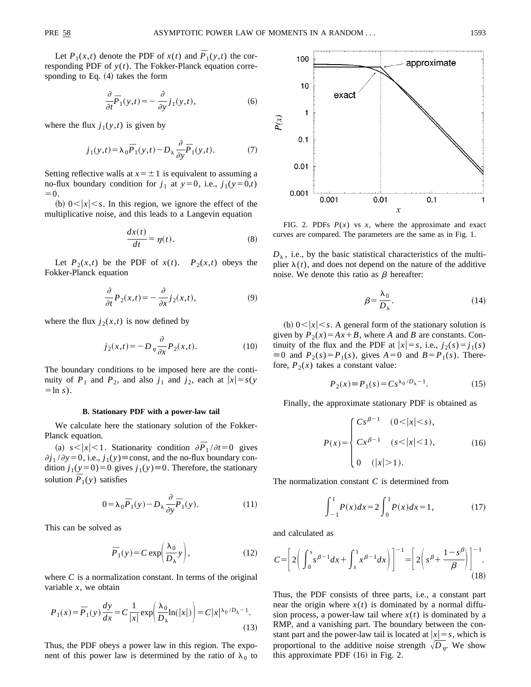Let  $P_1(x,t)$  denote the PDF of  $x(t)$  and  $\overline{P}_1(y,t)$  the corresponding PDF of  $y(t)$ . The Fokker-Planck equation corresponding to Eq.  $(4)$  takes the form

$$
\frac{\partial}{\partial t}\overline{P}_1(y,t) = -\frac{\partial}{\partial y}j_1(y,t),\tag{6}
$$

where the flux  $j_1(y,t)$  is given by

$$
j_1(y,t) = \lambda_0 \overline{P}_1(y,t) - D_\lambda \frac{\partial}{\partial y} \overline{P}_1(y,t). \tag{7}
$$

Setting reflective walls at  $x=\pm 1$  is equivalent to assuming a no-flux boundary condition for  $j_1$  at  $y=0$ , i.e.,  $j_1(y=0,t)$  $=0.$ 

(b)  $0 < |x| < s$ . In this region, we ignore the effect of the multiplicative noise, and this leads to a Langevin equation

$$
\frac{dx(t)}{dt} = \eta(t). \tag{8}
$$

Let  $P_2(x,t)$  be the PDF of  $x(t)$ .  $P_2(x,t)$  obeys the Fokker-Planck equation

$$
\frac{\partial}{\partial t}P_2(x,t) = -\frac{\partial}{\partial x}j_2(x,t),\tag{9}
$$

where the flux  $j_2(x,t)$  is now defined by

$$
j_2(x,t) = -D_{\eta} \frac{\partial}{\partial x} P_2(x,t).
$$
 (10)

The boundary conditions to be imposed here are the continuity of  $P_1$  and  $P_2$ , and also  $j_1$  and  $j_2$ , each at  $|x| = s(y)$  $=$ ln *s*).

#### **B. Stationary PDF with a power-law tail**

We calculate here the stationary solution of the Fokker-Planck equation.

(a)  $s < |x| < 1$ . Stationarity condition  $\partial \overline{P}_1 / \partial t = 0$  gives  $\partial j_1 / \partial y = 0$ , i.e.,  $j_1(y) \equiv$ const, and the no-flux boundary condition  $j_1(y=0)=0$  gives  $j_1(y)=0$ . Therefore, the stationary solution  $\overline{P}_1(y)$  satisfies

$$
0 = \lambda_0 \overline{P}_1(y) - D_\lambda \frac{\partial}{\partial y} \overline{P}_1(y). \tag{11}
$$

This can be solved as

$$
\overline{P}_1(y) = C \exp\left(\frac{\lambda_0}{D_\lambda}y\right),\tag{12}
$$

where  $C$  is a normalization constant. In terms of the original variable *x*, we obtain

$$
P_1(x) = \overline{P}_1(y)\frac{dy}{dx} = C\frac{1}{|x|}\exp\left(\frac{\lambda_0}{D_{\lambda}}\ln(|x|)\right) = C|x|^{\lambda_0/D_{\lambda}-1}.
$$
\n(13)

Thus, the PDF obeys a power law in this region. The exponent of this power law is determined by the ratio of  $\lambda_0$  to



FIG. 2. PDFs  $P(x)$  vs  $x$ , where the approximate and exact curves are compared. The parameters are the same as in Fig. 1.

 $D_{\lambda}$ , i.e., by the basic statistical characteristics of the multiplier  $\lambda(t)$ , and does not depend on the nature of the additive noise. We denote this ratio as  $\beta$  hereafter:

$$
\beta = \frac{\lambda_0}{D_\lambda}.\tag{14}
$$

(b)  $0 < |x| < s$ . A general form of the stationary solution is given by  $P_2(x) = Ax + B$ , where *A* and *B* are constants. Continuity of the flux and the PDF at  $|x|=s$ , i.e.,  $j_2(s)=j_1(s)$  $\equiv$  0 and  $P_2(s) = P_1(s)$ , gives  $A = 0$  and  $B = P_1(s)$ . Therefore,  $P_2(x)$  takes a constant value:

$$
P_2(x) \equiv P_1(s) = Cs^{\lambda_0/D_{\lambda} - 1}.
$$
 (15)

Finally, the approximate stationary PDF is obtained as

$$
P(x) = \begin{cases} Cs^{\beta - 1} & (0 < |x| < s), \\ Cx^{\beta - 1} & (s < |x| < 1), \\ 0 & (|x| > 1). \end{cases}
$$
(16)

The normalization constant *C* is determined from

$$
\int_{-1}^{1} P(x)dx = 2 \int_{0}^{1} P(x)dx = 1, \tag{17}
$$

and calculated as

$$
C = \left[2\left(\int_0^s s^{\beta-1} dx + \int_s^1 x^{\beta-1} dx\right)\right]^{-1} = \left[2\left(s^{\beta} + \frac{1-s^{\beta}}{\beta}\right)\right]^{-1}.
$$
\n(18)

Thus, the PDF consists of three parts, i.e., a constant part near the origin where  $x(t)$  is dominated by a normal diffusion process, a power-law tail where  $x(t)$  is dominated by a RMP, and a vanishing part. The boundary between the constant part and the power-law tail is located at  $|x| = s$ , which is proportional to the additive noise strength  $\sqrt{D_n}$ . We show this approximate PDF  $(16)$  in Fig. 2.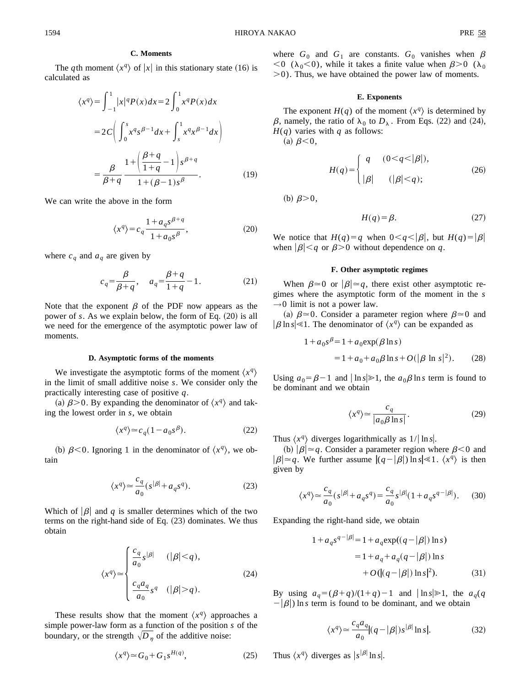## **C. Moments**

The *q*th moment  $\langle x^q \rangle$  of |x| in this stationary state (16) is calculated as

$$
\langle x^q \rangle = \int_{-1}^1 |x|^q P(x) dx = 2 \int_0^1 x^q P(x) dx
$$

$$
= 2C \left( \int_0^s x^q s^{\beta-1} dx + \int_s^1 x^q x^{\beta-1} dx \right)
$$

$$
= \frac{\beta}{\beta+q} \frac{1 + \left( \frac{\beta+q}{1+q} - 1 \right) s^{\beta+q}}{1 + (\beta-1)s^\beta}.
$$
(19)

We can write the above in the form

$$
\langle x^q \rangle = c_q \frac{1 + a_q s^{\beta + q}}{1 + a_0 s^\beta},\tag{20}
$$

where  $c_q$  and  $a_q$  are given by

$$
c_q = \frac{\beta}{\beta + q}, \quad a_q = \frac{\beta + q}{1 + q} - 1.
$$
 (21)

Note that the exponent  $\beta$  of the PDF now appears as the power of *s*. As we explain below, the form of Eq. (20) is all we need for the emergence of the asymptotic power law of moments.

### **D. Asymptotic forms of the moments**

We investigate the asymptotic forms of the moment  $\langle x^q \rangle$ in the limit of small additive noise *s*. We consider only the practically interesting case of positive *q*.

(a)  $\beta$  > 0. By expanding the denominator of  $\langle x^q \rangle$  and taking the lowest order in *s*, we obtain

$$
\langle x^q \rangle \simeq c_q (1 - a_0 s^\beta). \tag{22}
$$

(b)  $\beta$ <0. Ignoring 1 in the denominator of  $\langle x^q \rangle$ , we obtain

$$
\langle x^q \rangle \approx \frac{c_q}{a_0} (s^{|\beta|} + a_q s^q). \tag{23}
$$

Which of  $|\beta|$  and q is smaller determines which of the two terms on the right-hand side of Eq.  $(23)$  dominates. We thus obtain

$$
\langle x^q \rangle \approx \begin{cases} \frac{c_q}{a_0} s^{|\beta|} & (|\beta| < q), \\ \frac{c_q a_q}{a_0} s^q & (|\beta| > q). \end{cases} \tag{24}
$$

These results show that the moment  $\langle x^q \rangle$  approaches a simple power-law form as a function of the position *s* of the boundary, or the strength  $\sqrt{D_n}$  of the additive noise:

$$
\langle x^q \rangle \approx G_0 + G_1 s^{H(q)},\tag{25}
$$

where  $G_0$  and  $G_1$  are constants.  $G_0$  vanishes when  $\beta$  $<$ 0 ( $\lambda$ <sub>0</sub> $<$ 0), while it takes a finite value when  $\beta$  $>$ 0 ( $\lambda$ <sub>0</sub>  $>$ 0). Thus, we have obtained the power law of moments.

### **E. Exponents**

The exponent  $H(q)$  of the moment  $\langle x^q \rangle$  is determined by  $\beta$ , namely, the ratio of  $\lambda_0$  to  $D_\lambda$ . From Eqs. (22) and (24),  $H(q)$  varies with *q* as follows:

(a)  $\beta$  < 0,

$$
H(q) = \begin{cases} q & (0 < q < |\beta|), \\ |\beta| & (|\beta| < q); \end{cases}
$$
 (26)

(b)  $\beta > 0$ ,

$$
H(q) = \beta. \tag{27}
$$

We notice that  $H(q) = q$  when  $0 \lt q \lt |\beta|$ , but  $H(q) = |\beta|$ when  $|\beta| \leq q$  or  $\beta > 0$  without dependence on *q*.

### **F. Other asymptotic regimes**

When  $\beta \approx 0$  or  $|\beta| \approx q$ , there exist other asymptotic regimes where the asymptotic form of the moment in the *s*  $\rightarrow$  0 limit is not a power law.

(a)  $\beta \approx 0$ . Consider a parameter region where  $\beta \approx 0$  and  $|\beta \ln s| \le 1$ . The denominator of  $\langle x^q \rangle$  can be expanded as

$$
1 + a_0 s^{\beta} = 1 + a_0 \exp(\beta \ln s)
$$
  
= 1 + a\_0 + a\_0 \beta \ln s + O(|\beta \ln s|^2). (28)

Using  $a_0 = \beta - 1$  and  $\ln s \ge 1$ , the  $a_0 \beta \ln s$  term is found to be dominant and we obtain

$$
\langle x^q \rangle \simeq \frac{c_q}{|a_0 \beta \ln s|}.\tag{29}
$$

Thus  $\langle x^q \rangle$  diverges logarithmically as  $1/|\ln s|$ .

(b)  $|\beta| \approx q$ . Consider a parameter region where  $\beta < 0$  and  $|\beta| \approx q$ . We further assume  $|(q-|\beta|) \ln s| \ll 1$ .  $\langle x^q \rangle$  is then given by

$$
\langle x^q \rangle \approx \frac{c_q}{a_0} (s^{|\beta|} + a_q s^q) = \frac{c_q}{a_0} s^{|\beta|} (1 + a_q s^{q-|\beta|}). \tag{30}
$$

Expanding the right-hand side, we obtain

$$
1 + a_q s^{q-|\beta|} = 1 + a_q \exp((q-|\beta|) \ln s)
$$
  
= 1 + a\_q + a\_q (q-|\beta|) \ln s  
+ O(|(q-|\beta|) \ln s|^2). (31)

By using  $a_q = (\beta + q)/(1 + q) - 1$  and  $\ln s \ge 1$ , the  $a_q(q)$  $-|\beta|$ ) ln *s* term is found to be dominant, and we obtain

$$
\langle x^q \rangle \simeq \frac{c_q a_q}{a_0} |(q - |\beta|) s^{|\beta|} \ln s|.
$$
 (32)

Thus  $\langle x^q \rangle$  diverges as  $|s^{|\beta|} \ln s$ .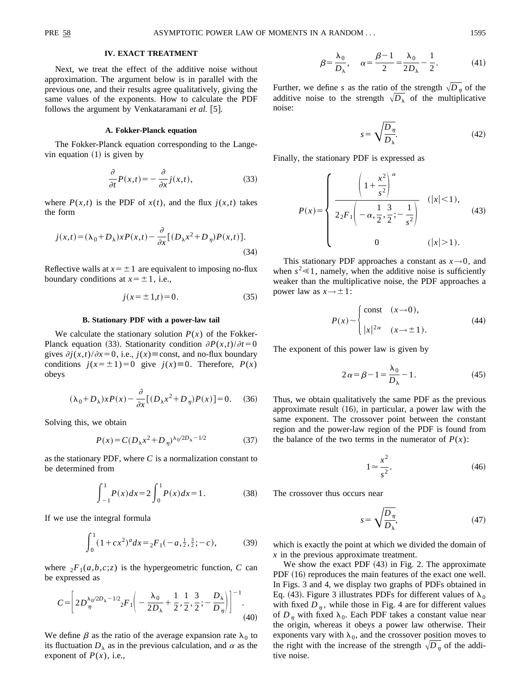Next, we treat the effect of the additive noise without approximation. The argument below is in parallel with the previous one, and their results agree qualitatively, giving the same values of the exponents. How to calculate the PDF follows the argument by Venkataramani et al. [5].

### **A. Fokker-Planck equation**

The Fokker-Planck equation corresponding to the Langevin equation  $(1)$  is given by

$$
\frac{\partial}{\partial t}P(x,t) = -\frac{\partial}{\partial x}j(x,t),\tag{33}
$$

where  $P(x,t)$  is the PDF of  $x(t)$ , and the flux  $j(x,t)$  takes the form

$$
j(x,t) = (\lambda_0 + D_\lambda)xP(x,t) - \frac{\partial}{\partial x}[(D_\lambda x^2 + D_\eta)P(x,t)].
$$
\n(34)

Reflective walls at  $x = \pm 1$  are equivalent to imposing no-flux boundary conditions at  $x=\pm 1$ , i.e.,

$$
j(x = \pm 1, t) = 0.
$$
 (35)

#### **B. Stationary PDF with a power-law tail**

We calculate the stationary solution  $P(x)$  of the Fokker-Planck equation (33). Stationarity condition  $\partial P(x,t)/\partial t=0$ gives  $\partial j(x,t)/\partial x=0$ , i.e.,  $j(x) \equiv$ const, and no-flux boundary conditions  $j(x=\pm 1)=0$  give  $j(x)=0$ . Therefore,  $P(x)$ obeys

$$
(\lambda_0 + D_\lambda)xP(x) - \frac{\partial}{\partial x}[(D_\lambda x^2 + D_\eta)P(x)] = 0. \quad (36)
$$

Solving this, we obtain

$$
P(x) = C(D_{\lambda}x^{2} + D_{\eta})^{\lambda_{0}/2D_{\lambda} - 1/2}
$$
 (37)

as the stationary PDF, where *C* is a normalization constant to be determined from

$$
\int_{-1}^{1} P(x)dx = 2 \int_{0}^{1} P(x)dx = 1.
$$
 (38)

If we use the integral formula

$$
\int_0^1 (1 + cx^2)^a dx = {}_2F_1(-a, \frac{1}{2}, \frac{3}{2}; -c),
$$
 (39)

where  ${}_{2}F_{1}(a,b,c;z)$  is the hypergeometric function, *C* can be expressed as

$$
C = \left[2D_{\eta}^{\lambda_0/2D_{\lambda}-1/2} {}_{2}F_{1}\left(-\frac{\lambda_0}{2D_{\lambda}} + \frac{1}{2}, \frac{1}{2}, \frac{3}{2}; -\frac{D_{\lambda}}{D_{\eta}}\right)\right]^{-1}.
$$
\n(40)

We define  $\beta$  as the ratio of the average expansion rate  $\lambda_0$  to its fluctuation  $D_{\lambda}$  as in the previous calculation, and  $\alpha$  as the exponent of  $P(x)$ , i.e.,

$$
\beta = \frac{\lambda_0}{D_\lambda}, \quad \alpha = \frac{\beta - 1}{2} = \frac{\lambda_0}{2D_\lambda} - \frac{1}{2}.
$$
 (41)

Further, we define *s* as the ratio of the strength  $\sqrt{D_n}$  of the additive noise to the strength  $\sqrt{D_{\lambda}}$  of the multiplicative noise:

$$
s = \sqrt{\frac{D_{\eta}}{D_{\lambda}}}.
$$
 (42)

Finally, the stationary PDF is expressed as

$$
P(x) = \begin{cases} \frac{\left(1 + \frac{x^2}{s^2}\right)^{\alpha}}{2_2 F_1 \left(-\alpha, \frac{1}{2}, \frac{3}{2}; -\frac{1}{s^2}\right)} & (\vert x \vert < 1), \\ 0 & (\vert x \vert > 1). \end{cases} \tag{43}
$$

This stationary PDF approaches a constant as  $x \rightarrow 0$ , and when  $s^2 \ll 1$ , namely, when the additive noise is sufficiently weaker than the multiplicative noise, the PDF approaches a power law as  $x \rightarrow \pm 1$ :

$$
P(x) \sim \begin{cases} \text{const} & (x \to 0), \\ |x|^{2\alpha} & (x \to \pm 1). \end{cases} \tag{44}
$$

The exponent of this power law is given by

$$
2\alpha = \beta - 1 = \frac{\lambda_0}{D_{\lambda}} - 1.
$$
 (45)

Thus, we obtain qualitatively the same PDF as the previous approximate result  $(16)$ , in particular, a power law with the same exponent. The crossover point between the constant region and the power-law region of the PDF is found from the balance of the two terms in the numerator of  $P(x)$ :

$$
1 \approx \frac{x^2}{s^2}.\tag{46}
$$

The crossover thus occurs near

$$
s = \sqrt{\frac{D_{\eta}}{D_{\lambda}}},\tag{47}
$$

which is exactly the point at which we divided the domain of *x* in the previous approximate treatment.

We show the exact PDF  $(43)$  in Fig. 2. The approximate PDF  $(16)$  reproduces the main features of the exact one well. In Figs. 3 and 4, we display two graphs of PDFs obtained in Eq. (43). Figure 3 illustrates PDFs for different values of  $\lambda_0$ with fixed  $D_n$ , while those in Fig. 4 are for different values of  $D_n$  with fixed  $\lambda_0$ . Each PDF takes a constant value near the origin, whereas it obeys a power law otherwise. Their exponents vary with  $\lambda_0$ , and the crossover position moves to the right with the increase of the strength  $\sqrt{D_n}$  of the additive noise.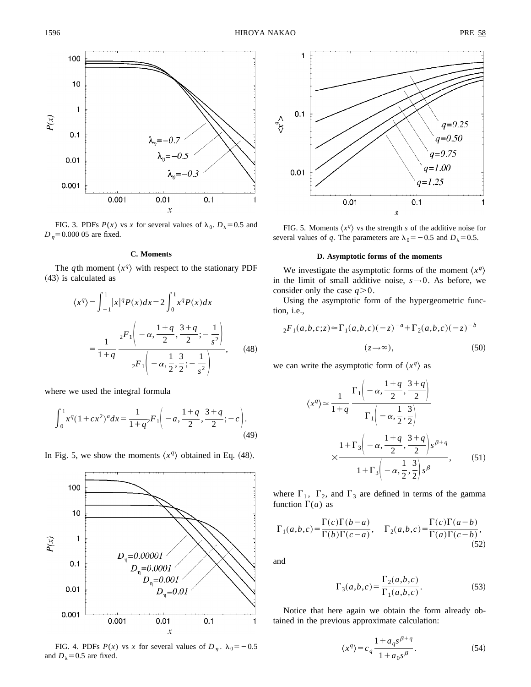

FIG. 3. PDFs  $P(x)$  vs *x* for several values of  $\lambda_0$ .  $D_\lambda = 0.5$  and  $D_n = 0.000 05$  are fixed.

### **C. Moments**

The *q*th moment  $\langle x^q \rangle$  with respect to the stationary PDF  $(43)$  is calculated as

$$
\langle x^q \rangle = \int_{-1}^{1} |x|^q P(x) dx = 2 \int_{0}^{1} x^q P(x) dx
$$

$$
= \frac{1}{1+q} \frac{{}_2F_1\left(-\alpha, \frac{1+q}{2}, \frac{3+q}{2}; -\frac{1}{s^2}\right)}{{}_2F_1\left(-\alpha, \frac{1}{2}, \frac{3}{2}; -\frac{1}{s^2}\right)}, \quad (48)
$$

where we used the integral formula

$$
\int_0^1 x^q (1+cx^2)^a dx = \frac{1}{1+q^2} F_1\bigg(-a, \frac{1+q}{2}, \frac{3+q}{2}; -c\bigg). \tag{49}
$$

In Fig. 5, we show the moments  $\langle x^q \rangle$  obtained in Eq. (48).



FIG. 4. PDFs  $P(x)$  vs *x* for several values of  $D_n$ .  $\lambda_0 = -0.5$ and  $D_{\lambda} = 0.5$  are fixed.



FIG. 5. Moments  $\langle x^q \rangle$  vs the strength *s* of the additive noise for several values of *q*. The parameters are  $\lambda_0 = -0.5$  and  $D_\lambda = 0.5$ .

### **D. Asymptotic forms of the moments**

We investigate the asymptotic forms of the moment  $\langle x^q \rangle$ in the limit of small additive noise,  $s \rightarrow 0$ . As before, we consider only the case  $q>0$ .

Using the asymptotic form of the hypergeometric function, i.e.,

$$
{}_{2}F_{1}(a,b,c;z) \approx \Gamma_{1}(a,b,c)(-z)^{-a} + \Gamma_{2}(a,b,c)(-z)^{-b}
$$
  

$$
(z \to \infty),
$$
 (50)

we can write the asymptotic form of  $\langle x^q \rangle$  as

$$
\langle x^q \rangle \approx \frac{1}{1+q} \frac{\Gamma_1 \left( -\alpha, \frac{1+q}{2}, \frac{3+q}{2} \right)}{\Gamma_1 \left( -\alpha, \frac{1}{2}, \frac{3}{2} \right)}
$$

$$
\times \frac{1+\Gamma_3 \left( -\alpha, \frac{1+q}{2}, \frac{3+q}{2} \right) s^{\beta+q}}{1+\Gamma_3 \left( -\alpha, \frac{1}{2}, \frac{3}{2} \right) s^{\beta}}, \quad (51)
$$

where  $\Gamma_1$ ,  $\Gamma_2$ , and  $\Gamma_3$  are defined in terms of the gamma function  $\Gamma(a)$  as

$$
\Gamma_1(a,b,c) = \frac{\Gamma(c)\Gamma(b-a)}{\Gamma(b)\Gamma(c-a)}, \quad \Gamma_2(a,b,c) = \frac{\Gamma(c)\Gamma(a-b)}{\Gamma(a)\Gamma(c-b)},\tag{52}
$$

and

$$
\Gamma_3(a,b,c) = \frac{\Gamma_2(a,b,c)}{\Gamma_1(a,b,c)}.
$$
\n(53)

Notice that here again we obtain the form already obtained in the previous approximate calculation:

$$
\langle x^q \rangle = c_q \frac{1 + a_q s^{\beta + q}}{1 + a_0 s^\beta}.
$$
\n<sup>(54)</sup>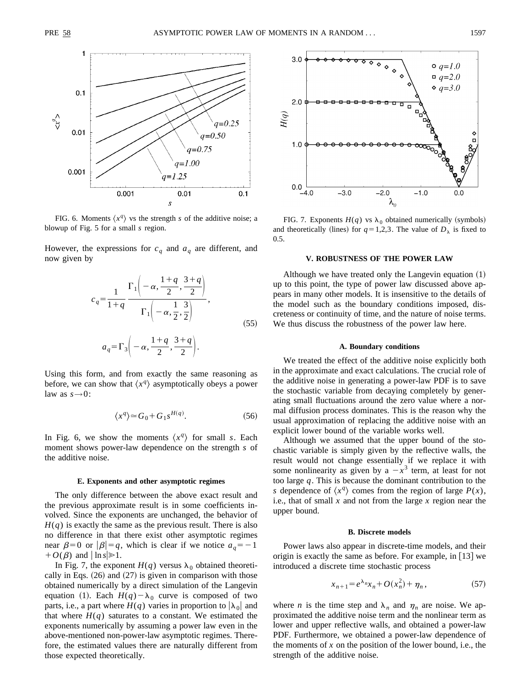

FIG. 6. Moments  $\langle x^q \rangle$  vs the strength *s* of the additive noise; a blowup of Fig. 5 for a small *s* region.

However, the expressions for  $c_q$  and  $a_q$  are different, and now given by

$$
c_q = \frac{1}{1+q} \frac{\Gamma_1\left(-\alpha, \frac{1+q}{2}, \frac{3+q}{2}\right)}{\Gamma_1\left(-\alpha, \frac{1}{2}, \frac{3}{2}\right)},
$$
  

$$
a_q = \Gamma_3\left(-\alpha, \frac{1+q}{2}, \frac{3+q}{2}\right).
$$
 (55)

Using this form, and from exactly the same reasoning as before, we can show that  $\langle x^q \rangle$  asymptotically obeys a power law as  $s \rightarrow 0$ :

$$
\langle x^q \rangle \approx G_0 + G_1 s^{H(q)}.\tag{56}
$$

In Fig. 6, we show the moments  $\langle x^q \rangle$  for small *s*. Each moment shows power-law dependence on the strength *s* of the additive noise.

#### **E. Exponents and other asymptotic regimes**

The only difference between the above exact result and the previous approximate result is in some coefficients involved. Since the exponents are unchanged, the behavior of  $H(q)$  is exactly the same as the previous result. There is also no difference in that there exist other asymptotic regimes near  $\beta=0$  or  $|\beta|=q$ , which is clear if we notice  $a_q=-1$  $+O(\beta)$  and  $\ln s \ge 1$ .

In Fig. 7, the exponent  $H(q)$  versus  $\lambda_0$  obtained theoretically in Eqs.  $(26)$  and  $(27)$  is given in comparison with those obtained numerically by a direct simulation of the Langevin equation (1). Each  $H(q) - \lambda_0$  curve is composed of two parts, i.e., a part where  $H(q)$  varies in proportion to  $|\lambda_0|$  and that where  $H(q)$  saturates to a constant. We estimated the exponents numerically by assuming a power law even in the above-mentioned non-power-law asymptotic regimes. Therefore, the estimated values there are naturally different from those expected theoretically.



FIG. 7. Exponents  $H(q)$  vs  $\lambda_0$  obtained numerically (symbols) and theoretically (lines) for  $q=1,2,3$ . The value of  $D<sub>\lambda</sub>$  is fixed to 0.5.

### **V. ROBUSTNESS OF THE POWER LAW**

Although we have treated only the Langevin equation  $(1)$ up to this point, the type of power law discussed above appears in many other models. It is insensitive to the details of the model such as the boundary conditions imposed, discreteness or continuity of time, and the nature of noise terms. We thus discuss the robustness of the power law here.

### **A. Boundary conditions**

We treated the effect of the additive noise explicitly both in the approximate and exact calculations. The crucial role of the additive noise in generating a power-law PDF is to save the stochastic variable from decaying completely by generating small fluctuations around the zero value where a normal diffusion process dominates. This is the reason why the usual approximation of replacing the additive noise with an explicit lower bound of the variable works well.

Although we assumed that the upper bound of the stochastic variable is simply given by the reflective walls, the result would not change essentially if we replace it with some nonlinearity as given by a  $-x^3$  term, at least for not too large *q*. This is because the dominant contribution to the *s* dependence of  $\langle x^q \rangle$  comes from the region of large  $P(x)$ , i.e., that of small *x* and not from the large *x* region near the upper bound.

#### **B. Discrete models**

Power laws also appear in discrete-time models, and their origin is exactly the same as before. For example, in  $[13]$  we introduced a discrete time stochastic process

$$
x_{n+1} = e^{\lambda_n} x_n + O(x_n^2) + \eta_n, \tag{57}
$$

where *n* is the time step and  $\lambda_n$  and  $\eta_n$  are noise. We approximated the additive noise term and the nonlinear term as lower and upper reflective walls, and obtained a power-law PDF. Furthermore, we obtained a power-law dependence of the moments of  $x$  on the position of the lower bound, i.e., the strength of the additive noise.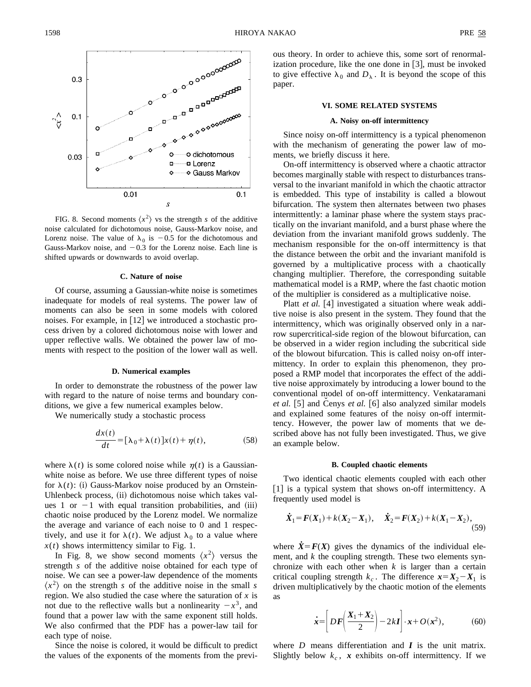

FIG. 8. Second moments  $\langle x^2 \rangle$  vs the strength *s* of the additive noise calculated for dichotomous noise, Gauss-Markov noise, and Lorenz noise. The value of  $\lambda_0$  is -0.5 for the dichotomous and Gauss-Markov noise, and  $-0.3$  for the Lorenz noise. Each line is shifted upwards or downwards to avoid overlap.

### **C. Nature of noise**

Of course, assuming a Gaussian-white noise is sometimes inadequate for models of real systems. The power law of moments can also be seen in some models with colored noises. For example, in  $[12]$  we introduced a stochastic process driven by a colored dichotomous noise with lower and upper reflective walls. We obtained the power law of moments with respect to the position of the lower wall as well.

### **D. Numerical examples**

In order to demonstrate the robustness of the power law with regard to the nature of noise terms and boundary conditions, we give a few numerical examples below.

We numerically study a stochastic process

$$
\frac{dx(t)}{dt} = [\lambda_0 + \lambda(t)]x(t) + \eta(t),
$$
\n(58)

where  $\lambda(t)$  is some colored noise while  $\eta(t)$  is a Gaussianwhite noise as before. We use three different types of noise for  $\lambda(t)$ : (i) Gauss-Markov noise produced by an Ornstein-Uhlenbeck process, (ii) dichotomous noise which takes values 1 or  $-1$  with equal transition probabilities, and (iii) chaotic noise produced by the Lorenz model. We normalize the average and variance of each noise to 0 and 1 respectively, and use it for  $\lambda(t)$ . We adjust  $\lambda_0$  to a value where  $x(t)$  shows intermittency similar to Fig. 1.

In Fig. 8, we show second moments  $\langle x^2 \rangle$  versus the strength *s* of the additive noise obtained for each type of noise. We can see a power-law dependence of the moments  $\langle x^2 \rangle$  on the strength *s* of the additive noise in the small *s* region. We also studied the case where the saturation of *x* is not due to the reflective walls but a nonlinearity  $-x^3$ , and found that a power law with the same exponent still holds. We also confirmed that the PDF has a power-law tail for each type of noise.

Since the noise is colored, it would be difficult to predict the values of the exponents of the moments from the previous theory. In order to achieve this, some sort of renormalization procedure, like the one done in  $[3]$ , must be invoked to give effective  $\lambda_0$  and  $D_\lambda$ . It is beyond the scope of this paper.

### **VI. SOME RELATED SYSTEMS**

#### **A. Noisy on-off intermittency**

Since noisy on-off intermittency is a typical phenomenon with the mechanism of generating the power law of moments, we briefly discuss it here.

On-off intermittency is observed where a chaotic attractor becomes marginally stable with respect to disturbances transversal to the invariant manifold in which the chaotic attractor is embedded. This type of instability is called a blowout bifurcation. The system then alternates between two phases intermittently: a laminar phase where the system stays practically on the invariant manifold, and a burst phase where the deviation from the invariant manifold grows suddenly. The mechanism responsible for the on-off intermittency is that the distance between the orbit and the invariant manifold is governed by a multiplicative process with a chaotically changing multiplier. Therefore, the corresponding suitable mathematical model is a RMP, where the fast chaotic motion of the multiplier is considered as a multiplicative noise.

Platt *et al.* [4] investigated a situation where weak additive noise is also present in the system. They found that the intermittency, which was originally observed only in a narrow supercritical-side region of the blowout bifurcation, can be observed in a wider region including the subcritical side of the blowout bifurcation. This is called noisy on-off intermittency. In order to explain this phenomenon, they proposed a RMP model that incorporates the effect of the additive noise approximately by introducing a lower bound to the conventional model of on-off intermittency. Venkataramani *et al.* [5] and Cenys *et al.* [6] also analyzed similar models and explained some features of the noisy on-off intermittency. However, the power law of moments that we described above has not fully been investigated. Thus, we give an example below.

#### **B. Coupled chaotic elements**

Two identical chaotic elements coupled with each other  $\lfloor 1 \rfloor$  is a typical system that shows on-off intermittency. A frequently used model is

$$
\dot{X}_1 = F(X_1) + k(X_2 - X_1), \quad \dot{X}_2 = F(X_2) + k(X_1 - X_2),
$$
\n(59)

where  $\dot{X} = F(X)$  gives the dynamics of the individual element, and *k* the coupling strength. These two elements synchronize with each other when *k* is larger than a certain critical coupling strength  $k_c$ . The difference  $x = X_2 - X_1$  is driven multiplicatively by the chaotic motion of the elements as

$$
\dot{\boldsymbol{x}} = \left[ D\boldsymbol{F} \left( \frac{\boldsymbol{X}_1 + \boldsymbol{X}_2}{2} \right) - 2k\boldsymbol{I} \right] \cdot \boldsymbol{x} + O(\boldsymbol{x}^2),\tag{60}
$$

where *D* means differentiation and *I* is the unit matrix. Slightly below  $k_c$ ,  $\boldsymbol{x}$  exhibits on-off intermittency. If we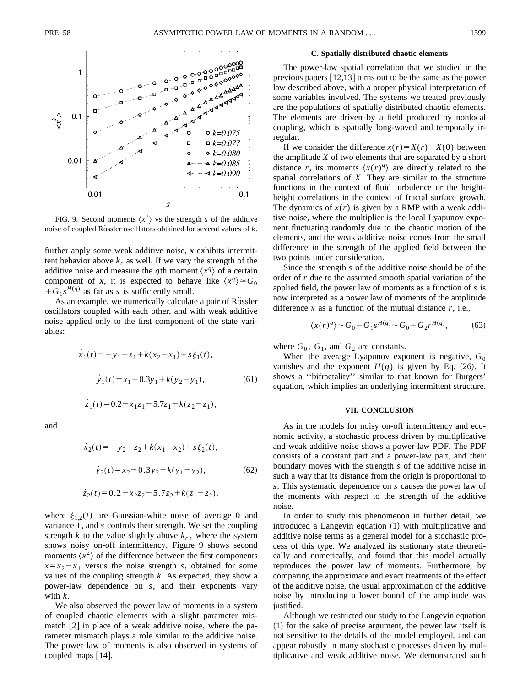1

 $0.1$ 





FIG. 9. Second moments  $\langle x^2 \rangle$  vs the strength *s* of the additive noise of coupled Rössler oscillators obtained for several values of *k*.

further apply some weak additive noise, *x* exhibits intermittent behavior above  $k_c$  as well. If we vary the strength of the additive noise and measure the *q*th moment  $\langle x^q \rangle$  of a certain component of *x*, it is expected to behave like  $\langle x^q \rangle \approx G_0$  $+G_1s^{H(q)}$  as far as *s* is sufficiently small.

As an example, we numerically calculate a pair of Rössler oscillators coupled with each other, and with weak additive noise applied only to the first component of the state variables:

$$
\begin{aligned}\n\dot{x}_1(t) &= -y_1 + z_1 + k(x_2 - x_1) + s\xi_1(t), \\
\dot{y}_1(t) &= x_1 + 0.3y_1 + k(y_2 - y_1), \\
\dot{z}_1(t) &= 0.2 + x_1 z_1 - 5.7z_1 + k(z_2 - z_1),\n\end{aligned} \tag{61}
$$

and

$$
\dot{x}_2(t) = -y_2 + z_2 + k(x_1 - x_2) + s\xi_2(t),
$$
  

$$
\dot{y}_2(t) = x_2 + 0.3y_2 + k(y_1 - y_2),
$$
 (62)

$$
\dot{z}_2(t) = 0.2 + x_2 z_2 - 5.7 z_2 + k(z_1 - z_2),
$$

where  $\xi_{1,2}(t)$  are Gaussian-white noise of average 0 and variance 1, and *s* controls their strength. We set the coupling strength  $k$  to the value slightly above  $k_c$ , where the system shows noisy on-off intermittency. Figure 9 shows second moments  $\langle x^2 \rangle$  of the difference between the first components  $x=x_2-x_1$  versus the noise strength *s*, obtained for some values of the coupling strength *k*. As expected, they show a power-law dependence on *s*, and their exponents vary with *k*.

We also observed the power law of moments in a system of coupled chaotic elements with a slight parameter mismatch  $[2]$  in place of a weak additive noise, where the parameter mismatch plays a role similar to the additive noise. The power law of moments is also observed in systems of coupled maps  $[14]$ .

### **C. Spatially distributed chaotic elements**

The power-law spatial correlation that we studied in the previous papers  $\lceil 12,13 \rceil$  turns out to be the same as the power law described above, with a proper physical interpretation of some variables involved. The systems we treated previously are the populations of spatially distributed chaotic elements. The elements are driven by a field produced by nonlocal coupling, which is spatially long-waved and temporally irregular.

If we consider the difference  $x(r) = X(r) - X(0)$  between the amplitude *X* of two elements that are separated by a short distance *r*, its moments  $\langle x(r)^q \rangle$  are directly related to the spatial correlations of *X*. They are similar to the structure functions in the context of fluid turbulence or the heightheight correlations in the context of fractal surface growth. The dynamics of  $x(r)$  is given by a RMP with a weak additive noise, where the multiplier is the local Lyapunov exponent fluctuating randomly due to the chaotic motion of the elements, and the weak additive noise comes from the small difference in the strength of the applied field between the two points under consideration.

Since the strength *s* of the additive noise should be of the order of *r* due to the assumed smooth spatial variation of the applied field, the power law of moments as a function of *s* is now interpreted as a power law of moments of the amplitude difference  $x$  as a function of the mutual distance  $r$ , i.e.,

$$
\langle x(r)^q \rangle \sim G_0 + G_1 s^{H(q)} \sim G_0 + G_2 r^{H(q)},\tag{63}
$$

where  $G_0$ ,  $G_1$ , and  $G_2$  are constants.

When the average Lyapunov exponent is negative,  $G_0$ vanishes and the exponent  $H(q)$  is given by Eq. (26). It shows a ''bifractality'' similar to that known for Burgers' equation, which implies an underlying intermittent structure.

### **VII. CONCLUSION**

As in the models for noisy on-off intermittency and economic activity, a stochastic process driven by multiplicative and weak additive noise shows a power-law PDF. The PDF consists of a constant part and a power-law part, and their boundary moves with the strength *s* of the additive noise in such a way that its distance from the origin is proportional to *s*. This systematic dependence on *s* causes the power law of the moments with respect to the strength of the additive noise.

In order to study this phenomenon in further detail, we introduced a Langevin equation  $(1)$  with multiplicative and additive noise terms as a general model for a stochastic process of this type. We analyzed its stationary state theoretically and numerically, and found that this model actually reproduces the power law of moments. Furthermore, by comparing the approximate and exact treatments of the effect of the additive noise, the usual approximation of the additive noise by introducing a lower bound of the amplitude was justified.

Although we restricted our study to the Langevin equation  $(1)$  for the sake of precise argument, the power law itself is not sensitive to the details of the model employed, and can appear robustly in many stochastic processes driven by multiplicative and weak additive noise. We demonstrated such